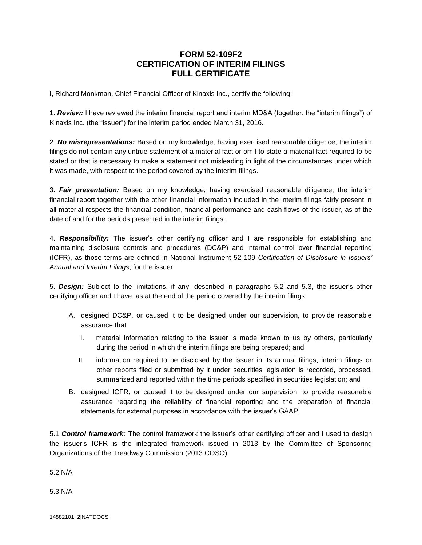## **FORM 52-109F2 CERTIFICATION OF INTERIM FILINGS FULL CERTIFICATE**

I, Richard Monkman, Chief Financial Officer of Kinaxis Inc., certify the following:

1. *Review:* I have reviewed the interim financial report and interim MD&A (together, the "interim filings") of Kinaxis Inc. (the "issuer") for the interim period ended March 31, 2016.

2. *No misrepresentations:* Based on my knowledge, having exercised reasonable diligence, the interim filings do not contain any untrue statement of a material fact or omit to state a material fact required to be stated or that is necessary to make a statement not misleading in light of the circumstances under which it was made, with respect to the period covered by the interim filings.

3. *Fair presentation:* Based on my knowledge, having exercised reasonable diligence, the interim financial report together with the other financial information included in the interim filings fairly present in all material respects the financial condition, financial performance and cash flows of the issuer, as of the date of and for the periods presented in the interim filings.

4. *Responsibility:* The issuer's other certifying officer and I are responsible for establishing and maintaining disclosure controls and procedures (DC&P) and internal control over financial reporting (ICFR), as those terms are defined in National Instrument 52-109 *Certification of Disclosure in Issuers' Annual and Interim Filings*, for the issuer.

5. *Design:* Subject to the limitations, if any, described in paragraphs 5.2 and 5.3, the issuer's other certifying officer and I have, as at the end of the period covered by the interim filings

- A. designed DC&P, or caused it to be designed under our supervision, to provide reasonable assurance that
	- I. material information relating to the issuer is made known to us by others, particularly during the period in which the interim filings are being prepared; and
	- II. information required to be disclosed by the issuer in its annual filings, interim filings or other reports filed or submitted by it under securities legislation is recorded, processed, summarized and reported within the time periods specified in securities legislation; and
- B. designed ICFR, or caused it to be designed under our supervision, to provide reasonable assurance regarding the reliability of financial reporting and the preparation of financial statements for external purposes in accordance with the issuer's GAAP.

5.1 *Control framework:* The control framework the issuer's other certifying officer and I used to design the issuer's ICFR is the integrated framework issued in 2013 by the Committee of Sponsoring Organizations of the Treadway Commission (2013 COSO).

5.2 N/A

5.3 N/A